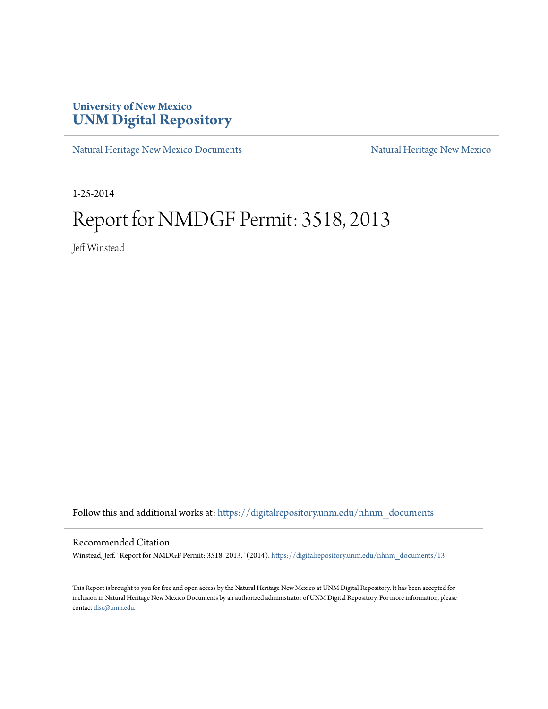## **University of New Mexico [UNM Digital Repository](https://digitalrepository.unm.edu?utm_source=digitalrepository.unm.edu%2Fnhnm_documents%2F13&utm_medium=PDF&utm_campaign=PDFCoverPages)**

[Natural Heritage New Mexico Documents](https://digitalrepository.unm.edu/nhnm_documents?utm_source=digitalrepository.unm.edu%2Fnhnm_documents%2F13&utm_medium=PDF&utm_campaign=PDFCoverPages) [Natural Heritage New Mexico](https://digitalrepository.unm.edu/nhnm?utm_source=digitalrepository.unm.edu%2Fnhnm_documents%2F13&utm_medium=PDF&utm_campaign=PDFCoverPages)

1-25-2014

## Report for NMDGF Permit: 3518, 2013

Jeff Winstead

Follow this and additional works at: [https://digitalrepository.unm.edu/nhnm\\_documents](https://digitalrepository.unm.edu/nhnm_documents?utm_source=digitalrepository.unm.edu%2Fnhnm_documents%2F13&utm_medium=PDF&utm_campaign=PDFCoverPages)

## Recommended Citation

Winstead, Jeff. "Report for NMDGF Permit: 3518, 2013." (2014). [https://digitalrepository.unm.edu/nhnm\\_documents/13](https://digitalrepository.unm.edu/nhnm_documents/13?utm_source=digitalrepository.unm.edu%2Fnhnm_documents%2F13&utm_medium=PDF&utm_campaign=PDFCoverPages)

This Report is brought to you for free and open access by the Natural Heritage New Mexico at UNM Digital Repository. It has been accepted for inclusion in Natural Heritage New Mexico Documents by an authorized administrator of UNM Digital Repository. For more information, please contact [disc@unm.edu.](mailto:disc@unm.edu)